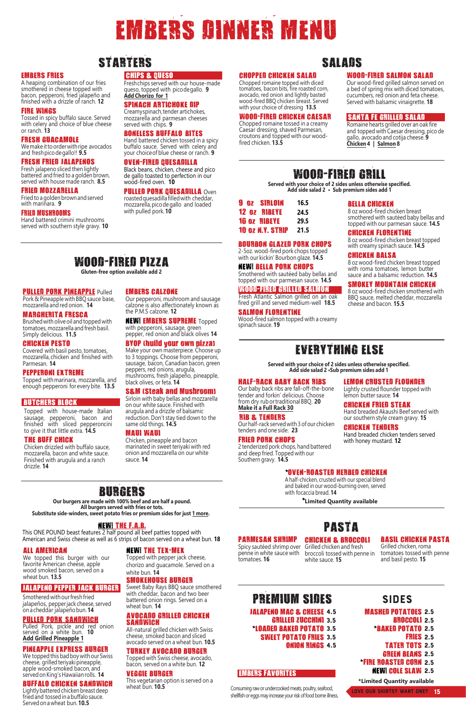2-5oz. wood-fired pork chops topped with our kickin' Bourbon glaze. 14.5

#### NEW! BELLA PORK CHOPS s - Othered with saut-ed baby bellas and topped with our parameters and sauce 14.5

#### WOOD-FIRED GRILLED SALMON

Fresh Atlantic Sal- on grilled on an oak fired grill and served - ediu -well'8.5

#### SALMON FLORENTINE

Wood-fired sal contopped with a crea y spinachsauce. 19

#### BELLA CHICKEN

**8 oz wood-fired chickenbreast** s othered with saut ethaby bellas and topped withour pare esansauce. 14.5

PARMESAN SHRIMP Spicysaut edsnri pover penne in white saucewith to atoes.1

#### CHICKEN BROCCOLI Grilled chicken and fresh broccoli tossed with penne in white saucet6

BASIL CHICKEN PASTA Grilled chicken ropa to atoes tossed with penne and basibesto.16

#### CHICKEN FLORENTINE

8 oz wood-fired chickenhreastlopped with crea  $y$  spinach sauce. 14.5

EVERYTHING ELSE Served with your choice of 2 sides unless otherwise specified.

### Add side salad 2 Sub pre Iu Side add 1 Jalapeno Mac add 2

#### CHICKEN BALSA

**8 oz wood-fired chickenhreast topped** with ro a to atoes, le on butter sauce and a balsa ic reduction. 1.5

#### SMOKEY MOUNTAIN CHICKEN

**8 gz wood-fired chickens** othered with BBQ sauce, eited cheddar, ozzarella cheeseand bacon.15.5

WOOD-FIRED PIZZA Gluten-free option available add 2

#### PULLED PORK PINEAPPLE Pulled Pork Pineapple with BBQ sauce hase, ozzarella and red onion. 14

Our pepperoni, \_ushroo \_and sausage calzoneis also attectionately known as the P.M.S calzone 12

### PASTA

#### This ONE POUND beast jeatures z nait pound all beet patties topped with American and Swiss cheese as well as 6 strips of bacon served on a wheatthun.

#### ALL AMERICA

We topped this burger with our favorite Americancheese, apple wood smoked bacon, served on a  $w$ heathun, 1 $3.5$ 

#### JALAPENO PEPPER JACK BURGER

Smothered withour freshiried jalape os, peppenackcheeseserved on a cheddar jalape o bun14

#### ILLED PORK SANDWICH

Pulied Pork, pickie and red onion Served on a white bun. Av Add Grilled Pineapple 1

#### PINEAPPLE EXPRESS BURGER

WE TOPPED INISDAD DOW WITHOUT SWISS cneese, gruiederlyakpineappie, appie Wood-Smoked Dacon,and | servedon King **Sawaiiarrolls.14** 

#### BUFFALO CHICKEN SANDWICH LIGNIJVDATTEFEORNICKEMI EASWEED friedand tossed na buffalosauce. Servedon a wheat bun.10.5

NEW! THE TEX-MEX

Topped with pepper jack cheese, chorizo and guacamole. Served on a white  $b$ un.14

#### SMOKEHOUSE BURGER

Sweet Bahy Rays BBQ sauce smothered with cheddar, bacon and two beer hattered onion rings. Served on a wheat bun.14

## AVOCADO GRILLED CHICKEN<br>SANDWICH

Brushed with olive oil and topped with to atoes, ozzarellaandireshnasil. SiPpl\ delicious. 11.5

> All-naturahrilled chicken with Swiss cheese, smokethacon and sliced avocadoservedon a wheat bun.10.5

#### 'URKEY AVOCADO BURGER

Topped with Swisscheese avocado, bacon, seryedon a whitebun, 12

#### **VEGGIE BURGER** Thisvegetarian potion is served on a wheat bun.10.5

#### EMBERS FAVORITES

NEW! EMBERS SUPREME Topped with pepperoni, sausage, green pepper, red onion and black olives4

#### BYOP build your own pizzal

Make your own Pasterpiece choose up to 3 toppings.choose iro - pepperoni, sausage, baconcanadian bacon, green peppers, red onions, arugula, ushroo s, fresh alape o, pineapple, black olives, or feta. 14

#### S **M** Steak and Mushroo 1

Sirioinwithnany nellasand | Ozzarella on our whitesauce.Finishedwith arugula and a drizzle of balsa ic reduction. Don tstaytied down to the sa eold things. 14.5

#### HALF-RACK BABY BACK RIBS

Our baby backribs are fall-off-the-bone tender and forkin delicious. Choose fro dry rubor traditiona BBQ. 20 Make it a Full Rack 30

### **RENDERS**

Our half-rackerved with 3 of our chicken tenders and one side. 23

Chicken, pineapple and bacon arinated in sweetteriyak with red onion and - ozzarellaoñ our white sauce.14

#### FRIED PORK CHOPS

2 tenderized pork chops, hand battered and deep fried. Topped withour Southerngravy. 14.5

CHIPS QUESO Freshchips served with our house-ade ueso, topped with picodegallo. 9 Add Chorizo for 1

**Hand** battered chicken tossed in a spicy buffalo sauce. Served with celery and your choice of blue cheese or ranch. **9**

### MARGHERITA FRESCA

roasted quesadilla filled with cheddar, mozzarella, pico de gallo and loaded with pulled pork. 10

### 6\$\$6

#### CHICKEN PESTO

Covered with basil pesto, to atoes, ozzarella, chicken and finished with Par esan 14

### PEPPERONI EXTREME

Topped with arinara, ozzarella, and enough pepperoni for every bite. 13.5

#### BUTCHERS BLOCK

Topped with house- ade Italian sausage, pepperoni, bacon and finished with sliced pepperoncini to give it that little  $e$  trad.  $5$ 

#### THE BUFF CHICK

chicken drizzled with buffalo sauce, **Gzzarella, bacon and white sauce.** Finished with arugula and a ranch drizzle. 14

#### EMBERS CALZONE

2.5 MASHED POTATOES **BROCCOLI 2.5** BAKED POTATO 2.5 **FRIES** 2.5 **TATER TOTS 2.5** GREEN BEANS 2.5 2.5 FIRE ROASTED CORN **COLE SLAW** L

\*\*Excludes Jalaneno Mac & Cheese

Chopped romaine topped with diced tomatoes, bacon bits, fire roasted corn, avocado, red onion and lightly basted wood-fired BBQ chicken breast. Served with your choice of dressing 13.5

#### /(021 &5867(' )/281'(5 LJKWO FUXVWHG IORXQGHU WRSSHG LWK OHPRQEXWWHU VDXFH

&,&.15,67\$. DQG EUHDGHG \$NDXVKL HHI VHUYHGLWK RXUVRXWKHUQ VWOH FUHDP JUDY

&.8.17156 +DQGEUHDGHG FKLFNHQWHQGHUV VHUYHG LWK KRQHPXVWDUG

#### MAUI WAUI

# EMBERS DINNER MENU

## STARTERS

### SPINACH ARTICHOKE DIP

Creamyspinachtenderartichokes, mozzafella and parmes and cheeses servedwith chips. 9

#### BONELESS BUFFALO BITES

#### OVEN-FIRED QUESADILLA

Black beans, chicken, cheese and pico de gallo toasted to perfection in our wood-fired oven. **10**

#### PULLED PORK QUESADILLA Oven

#### EMBERS FRIES

A heaping combination of our fries smothered in cheese topped with bacon, pepperoni, fried jalapeño and finished with a drizzle of ranch. 12

|  |                         | 16.5 |  |
|--|-------------------------|------|--|
|  |                         | 24.5 |  |
|  |                         | 29.5 |  |
|  | <b>10 OZ N.Y. STRIP</b> | 21.5 |  |

### BOURBON GLAZED PORK CHOPS

#### FIRE WINGS

Tossed in spicy buffalo sauce. Served with celery and choice of blue cheese or ranch. 13

#### FRESH GUACAMOLE

We make it to order with ripe avocados and fresh pico de gallo!! 9.5

#### FRESH FRIED JALAPENOS

Fresh jalapeno sliced then lightly battered and fried to a golden brown, served with house made ranch. 8.5

#### FRIED MOZZARELLA

Fried to a golden brown and served with marinara. 9

#### FRIED MUSHROOMS

Hand battered crimini mushrooms served with southern style gravy. **10**

- JALAPENO MAC & CHEESE 4.5GRILLED ZUCCHINI 3.5
- LOADED BAKED POTATO 3.5 SWEET POTATO FRIES 3.5

ONION RINGS 4.5

### 35(0,806,'(6 sides

Love our shirts? Want one? 15

### WOOD-FIRED SALMON SALAD

Our wood-fired grilled salmon served on a bed of spring mix with diced tomatoes, cucumbers, red onion and feta cheese. Served with balsamic vinaigrette. 18

#### SANTA FE GRILLED SALAD

#### CHOPPED CHICKEN SALAD

#### WOOD-FIRED CHICKEN CAESAR

Chopped romaine tossed in a creamy Caesar dressing, shaved Parmesan, croutons and topped with our woodfired chicken. 13.5

Romaine hearts grilled over an oak fire and topped with Caesar dressing, pico de gallo, avocado and cotija cheese. 9 Chicken 4 | Salmon 8

Consuming raw or undercooked meats, poultry, seafood, shellfish or eggs may increase your risk of food borne illness.

### \*OVEN-ROASTED HERBED CHICKEN

**BURGERS** 

Our burgers are made with two hoef and are hall a pound . AII Durgers Served With Tries of Tots. Substitute \*\*premium side for just 1 more Jalapeno Mac add 2

<u>NEWI THE F.A.B.</u>

**\*Limited Quantity available**